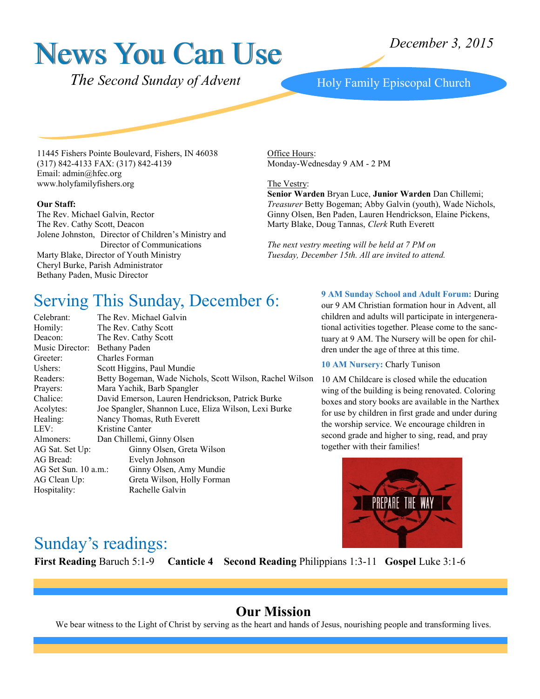# News You Can Use

 *The Second Sunday of Advent*

Holy Family Episcopal Church

11445 Fishers Pointe Boulevard, Fishers, IN 46038 (317) 842-4133 FAX: (317) 842-4139 Email: admin@hfec.org www.holyfamilyfishers.org

#### **Our Staff:**

The Rev. Michael Galvin, Rector The Rev. Cathy Scott, Deacon Jolene Johnston, Director of Children's Ministry and Director of Communications Marty Blake, Director of Youth Ministry Cheryl Burke, Parish Administrator Bethany Paden, Music Director

Office Hours: Monday-Wednesday 9 AM - 2 PM

#### The Vestry:

**Senior Warden** Bryan Luce, **Junior Warden** Dan Chillemi; *Treasurer* Betty Bogeman; Abby Galvin (youth), Wade Nichols, Ginny Olsen, Ben Paden, Lauren Hendrickson, Elaine Pickens, Marty Blake, Doug Tannas, *Clerk* Ruth Everett

*The next vestry meeting will be held at 7 PM on Tuesday, December 15th. All are invited to attend.*

#### Serving This Sunday, December 6:

| Celebrant:           | The Rev. Michael Galvin                                  |
|----------------------|----------------------------------------------------------|
| Homily:              | The Rev. Cathy Scott                                     |
| Deacon:              | The Rev. Cathy Scott                                     |
| Music Director:      | Bethany Paden                                            |
| Greeter:             | Charles Forman                                           |
| Ushers:              | Scott Higgins, Paul Mundie                               |
| Readers:             | Betty Bogeman, Wade Nichols, Scott Wilson, Rachel Wilson |
| Prayers:             | Mara Yachik, Barb Spangler                               |
| Chalice:             | David Emerson, Lauren Hendrickson, Patrick Burke         |
| Acolytes:            | Joe Spangler, Shannon Luce, Eliza Wilson, Lexi Burke     |
| Healing:             | Nancy Thomas, Ruth Everett                               |
| LEV:                 | Kristine Canter                                          |
| Almoners:            | Dan Chillemi, Ginny Olsen                                |
| AG Sat. Set Up:      | Ginny Olsen, Greta Wilson                                |
| AG Bread:            | Evelyn Johnson                                           |
| AG Set Sun. 10 a.m.: | Ginny Olsen, Amy Mundie                                  |
| AG Clean Up:         | Greta Wilson, Holly Forman                               |
| Hospitality:         | Rachelle Galvin                                          |
|                      |                                                          |

**9 AM Sunday School and Adult Forum:** During our 9 AM Christian formation hour in Advent, all children and adults will participate in intergenerational activities together. Please come to the sanctuary at 9 AM. The Nursery will be open for children under the age of three at this time.

#### **10 AM Nursery: Charly Tunison**

10 AM Childcare is closed while the education wing of the building is being renovated. Coloring boxes and story books are available in the Narthex for use by children in first grade and under during the worship service. We encourage children in second grade and higher to sing, read, and pray together with their families!



#### Sunday's readings:

**First Reading** Baruch 5:1-9 **Canticle 4 Second Reading** Philippians 1:3-11 **Gospel** Luke 3:1-6

#### **Our Mission**

We bear witness to the Light of Christ by serving as the heart and hands of Jesus, nourishing people and transforming lives.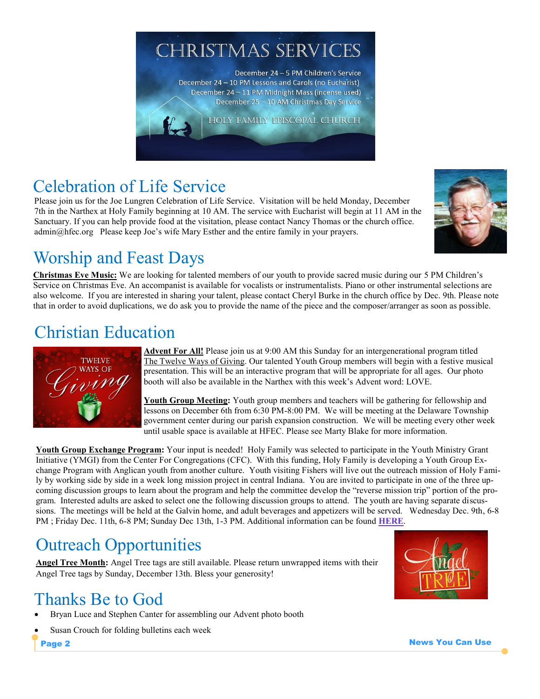

### Celebration of Life Service

Please join us for the Joe Lungren Celebration of Life Service. Visitation will be held Monday, December 7th in the Narthex at Holy Family beginning at 10 AM. The service with Eucharist will begin at 11 AM in the Sanctuary. If you can help provide food at the visitation, please contact Nancy Thomas or the church office. admin@hfec.org Please keep Joe's wife Mary Esther and the entire family in your prayers.



### Worship and Feast Days

**Christmas Eve Music:** We are looking for talented members of our youth to provide sacred music during our 5 PM Children's Service on Christmas Eve. An accompanist is available for vocalists or instrumentalists. Piano or other instrumental selections are also welcome. If you are interested in sharing your talent, please contact Cheryl Burke in the church office by Dec. 9th. Please note that in order to avoid duplications, we do ask you to provide the name of the piece and the composer/arranger as soon as possible.

#### Christian Education



**Advent For All!** Please join us at 9:00 AM this Sunday for an intergenerational program titled The Twelve Ways of Giving. Our talented Youth Group members will begin with a festive musical presentation. This will be an interactive program that will be appropriate for all ages. Our photo booth will also be available in the Narthex with this week's Advent word: LOVE.

**Youth Group Meeting:** Youth group members and teachers will be gathering for fellowship and lessons on December 6th from 6:30 PM-8:00 PM. We will be meeting at the Delaware Township government center during our parish expansion construction. We will be meeting every other week until usable space is available at HFEC. Please see Marty Blake for more information.

**Youth Group Exchange Program:** Your input is needed! Holy Family was selected to participate in the Youth Ministry Grant Initiative (YMGI) from the Center For Congregations (CFC). With this funding, Holy Family is developing a Youth Group Exchange Program with Anglican youth from another culture. Youth visiting Fishers will live out the outreach mission of Holy Family by working side by side in a week long mission project in central Indiana. You are invited to participate in one of the three upcoming discussion groups to learn about the program and help the committee develop the "reverse mission trip" portion of the program. Interested adults are asked to select one the following discussion groups to attend. The youth are having separate discussions. The meetings will be held at the Galvin home, and adult beverages and appetizers will be served. Wednesday Dec. 9th, 6-8 PM ; Friday Dec. 11th, 6-8 PM; Sunday Dec 13th, 1-3 PM. Additional information can be found **[HERE](http://www.holyfamilyfishers.org/ymgi-youth-group-exchange/)**.

### Outreach Opportunities

**Angel Tree Month:** Angel Tree tags are still available. Please return unwrapped items with their Angel Tree tags by Sunday, December 13th. Bless your generosity!

### Thanks Be to God

- Bryan Luce and Stephen Canter for assembling our Advent photo booth
- Susan Crouch for folding bulletins each week